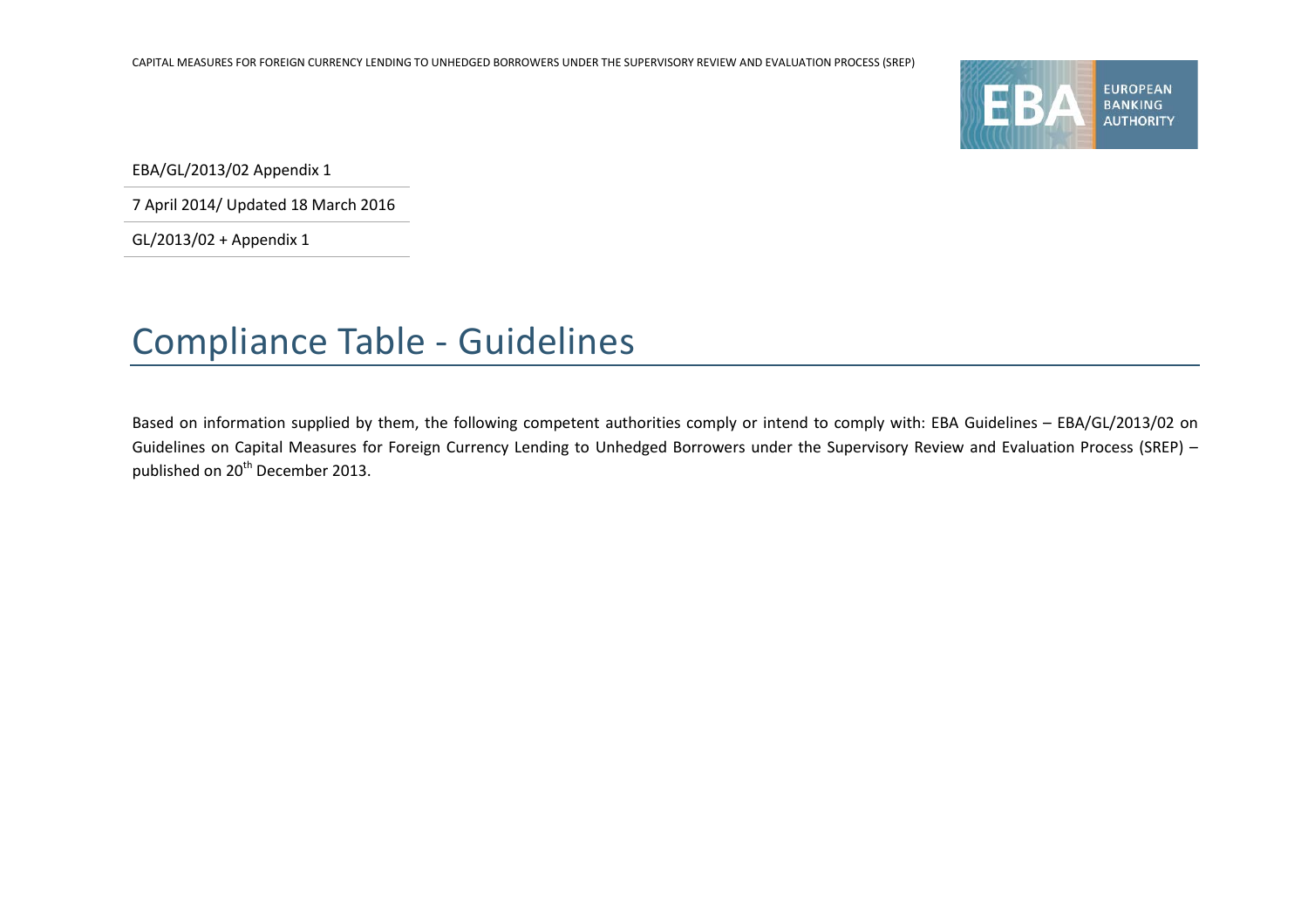

EBA/GL/2013/02 Appendix 1

7 April 2014/ Updated 18 March 2016

GL/2013/02 + Appendix 1

## Compliance Table - Guidelines

Based on information supplied by them, the following competent authorities comply or intend to comply with: EBA Guidelines – EBA/GL/2013/02 on Guidelines on Capital Measures for Foreign Currency Lending to Unhedged Borrowers under the Supervisory Review and Evaluation Process (SREP) – published on 20<sup>th</sup> December 2013.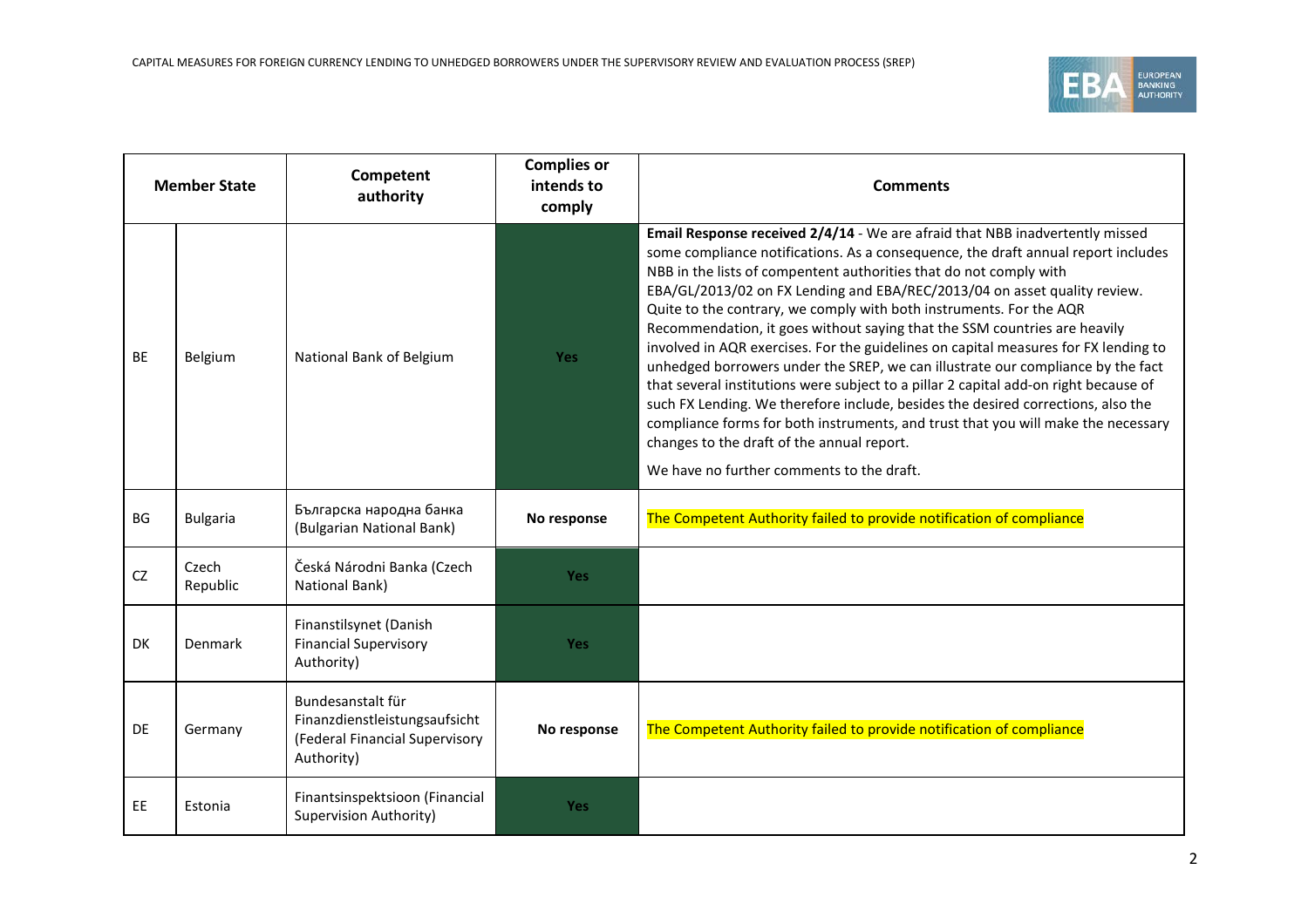

| <b>Member State</b> |                   | Competent<br>authority                                                                             | <b>Complies or</b><br>intends to<br>comply | <b>Comments</b>                                                                                                                                                                                                                                                                                                                                                                                                                                                                                                                                                                                                                                                                                                                                                                                                                                                                                                                                                                                                |
|---------------------|-------------------|----------------------------------------------------------------------------------------------------|--------------------------------------------|----------------------------------------------------------------------------------------------------------------------------------------------------------------------------------------------------------------------------------------------------------------------------------------------------------------------------------------------------------------------------------------------------------------------------------------------------------------------------------------------------------------------------------------------------------------------------------------------------------------------------------------------------------------------------------------------------------------------------------------------------------------------------------------------------------------------------------------------------------------------------------------------------------------------------------------------------------------------------------------------------------------|
| <b>BE</b>           | Belgium           | National Bank of Belgium                                                                           | <b>Yes</b>                                 | Email Response received 2/4/14 - We are afraid that NBB inadvertently missed<br>some compliance notifications. As a consequence, the draft annual report includes<br>NBB in the lists of compentent authorities that do not comply with<br>EBA/GL/2013/02 on FX Lending and EBA/REC/2013/04 on asset quality review.<br>Quite to the contrary, we comply with both instruments. For the AQR<br>Recommendation, it goes without saying that the SSM countries are heavily<br>involved in AQR exercises. For the guidelines on capital measures for FX lending to<br>unhedged borrowers under the SREP, we can illustrate our compliance by the fact<br>that several institutions were subject to a pillar 2 capital add-on right because of<br>such FX Lending. We therefore include, besides the desired corrections, also the<br>compliance forms for both instruments, and trust that you will make the necessary<br>changes to the draft of the annual report.<br>We have no further comments to the draft. |
| BG                  | <b>Bulgaria</b>   | Българска народна банка<br>(Bulgarian National Bank)                                               | No response                                | The Competent Authority failed to provide notification of compliance                                                                                                                                                                                                                                                                                                                                                                                                                                                                                                                                                                                                                                                                                                                                                                                                                                                                                                                                           |
| <b>CZ</b>           | Czech<br>Republic | Česká Národni Banka (Czech<br>National Bank)                                                       | <b>Yes</b>                                 |                                                                                                                                                                                                                                                                                                                                                                                                                                                                                                                                                                                                                                                                                                                                                                                                                                                                                                                                                                                                                |
| DK                  | Denmark           | Finanstilsynet (Danish<br><b>Financial Supervisory</b><br>Authority)                               | <b>Yes</b>                                 |                                                                                                                                                                                                                                                                                                                                                                                                                                                                                                                                                                                                                                                                                                                                                                                                                                                                                                                                                                                                                |
| DE                  | Germany           | Bundesanstalt für<br>Finanzdienstleistungsaufsicht<br>(Federal Financial Supervisory<br>Authority) | No response                                | The Competent Authority failed to provide notification of compliance                                                                                                                                                                                                                                                                                                                                                                                                                                                                                                                                                                                                                                                                                                                                                                                                                                                                                                                                           |
| EE.                 | Estonia           | Finantsinspektsioon (Financial<br>Supervision Authority)                                           | <b>Yes</b>                                 |                                                                                                                                                                                                                                                                                                                                                                                                                                                                                                                                                                                                                                                                                                                                                                                                                                                                                                                                                                                                                |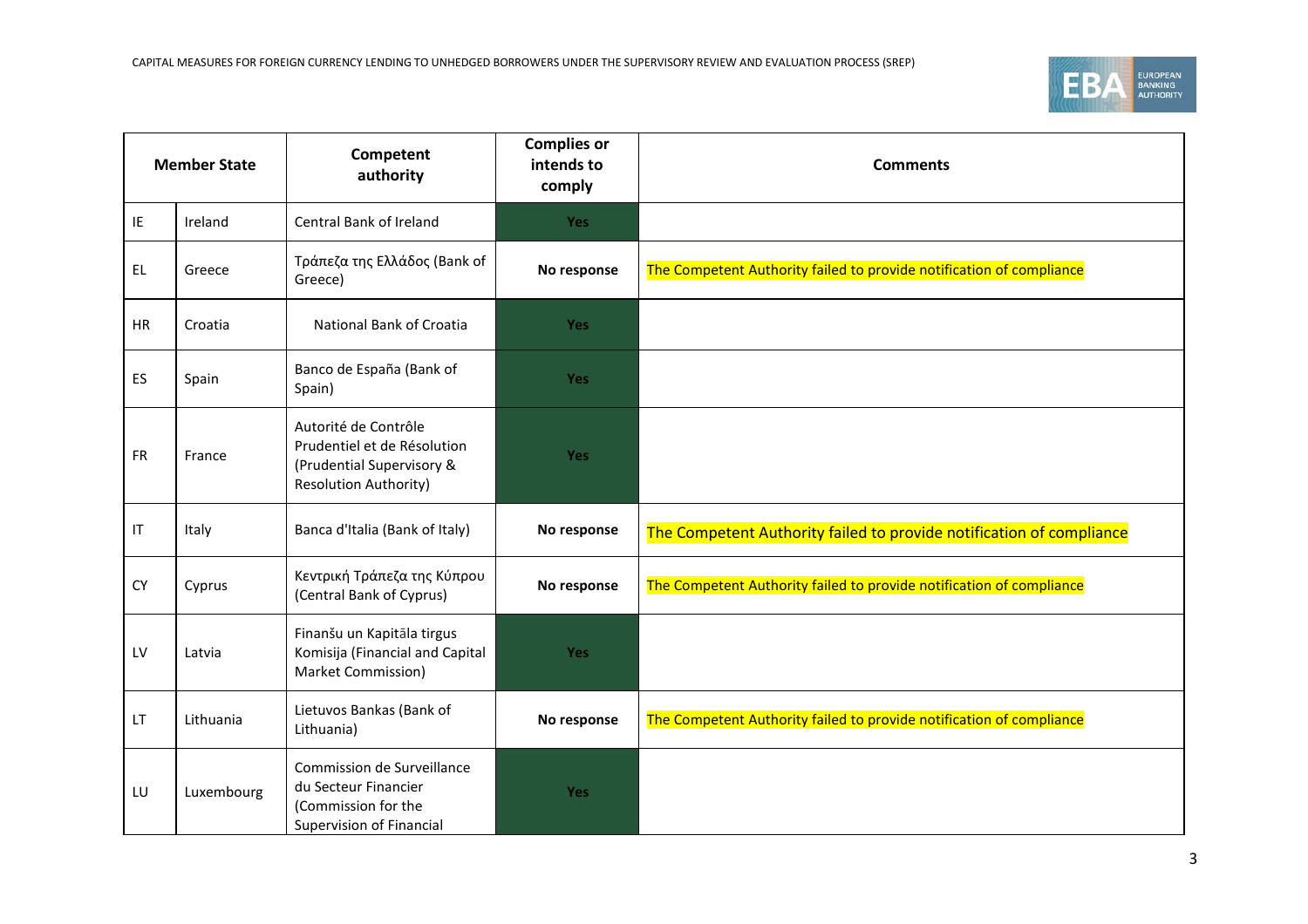

| <b>Member State</b> |            | Competent<br>authority                                                                                           | <b>Complies or</b><br>intends to<br>comply | <b>Comments</b>                                                      |
|---------------------|------------|------------------------------------------------------------------------------------------------------------------|--------------------------------------------|----------------------------------------------------------------------|
| IE                  | Ireland    | Central Bank of Ireland                                                                                          | Yes                                        |                                                                      |
| EL.                 | Greece     | Τράπεζα της Ελλάδος (Bank of<br>Greece)                                                                          | No response                                | The Competent Authority failed to provide notification of compliance |
| <b>HR</b>           | Croatia    | National Bank of Croatia                                                                                         | Yes                                        |                                                                      |
| ES                  | Spain      | Banco de España (Bank of<br>Spain)                                                                               | Yes                                        |                                                                      |
| <b>FR</b>           | France     | Autorité de Contrôle<br>Prudentiel et de Résolution<br>(Prudential Supervisory &<br><b>Resolution Authority)</b> | <b>Yes</b>                                 |                                                                      |
| IT                  | Italy      | Banca d'Italia (Bank of Italy)                                                                                   | No response                                | The Competent Authority failed to provide notification of compliance |
| CY                  | Cyprus     | Κεντρική Τράπεζα της Κύπρου<br>(Central Bank of Cyprus)                                                          | No response                                | The Competent Authority failed to provide notification of compliance |
| LV                  | Latvia     | Finanšu un Kapitāla tirgus<br>Komisija (Financial and Capital<br>Market Commission)                              | <b>Yes</b>                                 |                                                                      |
| LT                  | Lithuania  | Lietuvos Bankas (Bank of<br>Lithuania)                                                                           | No response                                | The Competent Authority failed to provide notification of compliance |
| LU                  | Luxembourg | Commission de Surveillance<br>du Secteur Financier<br>(Commission for the<br>Supervision of Financial            | Yes                                        |                                                                      |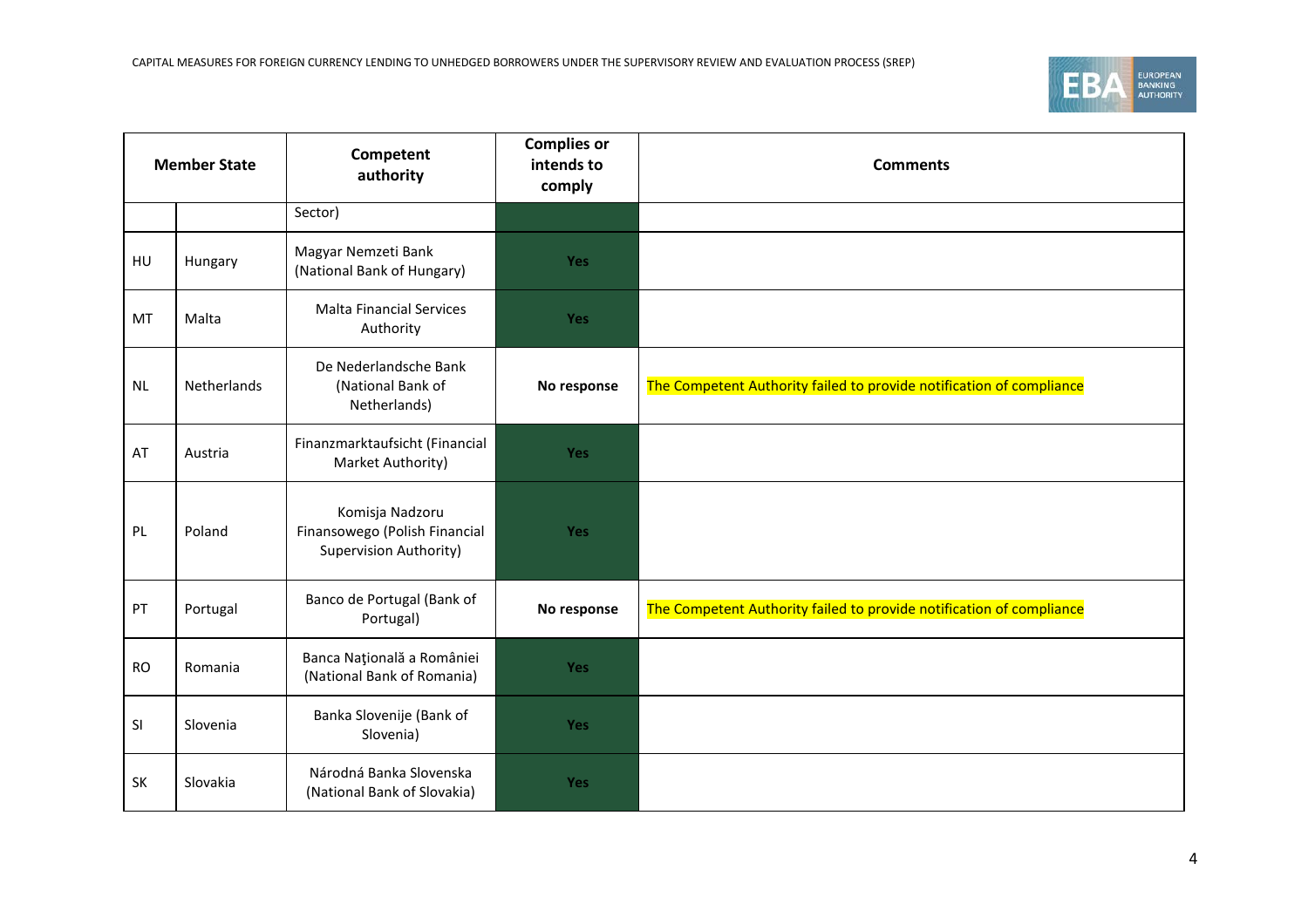

| <b>Member State</b> |                    | Competent<br>authority                                                     | <b>Complies or</b><br>intends to<br>comply | <b>Comments</b>                                                      |
|---------------------|--------------------|----------------------------------------------------------------------------|--------------------------------------------|----------------------------------------------------------------------|
|                     |                    | Sector)                                                                    |                                            |                                                                      |
| HU                  | Hungary            | Magyar Nemzeti Bank<br>(National Bank of Hungary)                          | Yes                                        |                                                                      |
| <b>MT</b>           | Malta              | <b>Malta Financial Services</b><br>Authority                               | Yes                                        |                                                                      |
| <b>NL</b>           | <b>Netherlands</b> | De Nederlandsche Bank<br>(National Bank of<br>Netherlands)                 | No response                                | The Competent Authority failed to provide notification of compliance |
| AT                  | Austria            | Finanzmarktaufsicht (Financial<br>Market Authority)                        | <b>Yes</b>                                 |                                                                      |
| PL                  | Poland             | Komisja Nadzoru<br>Finansowego (Polish Financial<br>Supervision Authority) | <b>Yes</b>                                 |                                                                      |
| PT                  | Portugal           | Banco de Portugal (Bank of<br>Portugal)                                    | No response                                | The Competent Authority failed to provide notification of compliance |
| <b>RO</b>           | Romania            | Banca Națională a României<br>(National Bank of Romania)                   | <b>Yes</b>                                 |                                                                      |
| SI                  | Slovenia           | Banka Slovenije (Bank of<br>Slovenia)                                      | <b>Yes</b>                                 |                                                                      |
| SK                  | Slovakia           | Národná Banka Slovenska<br>(National Bank of Slovakia)                     | Yes                                        |                                                                      |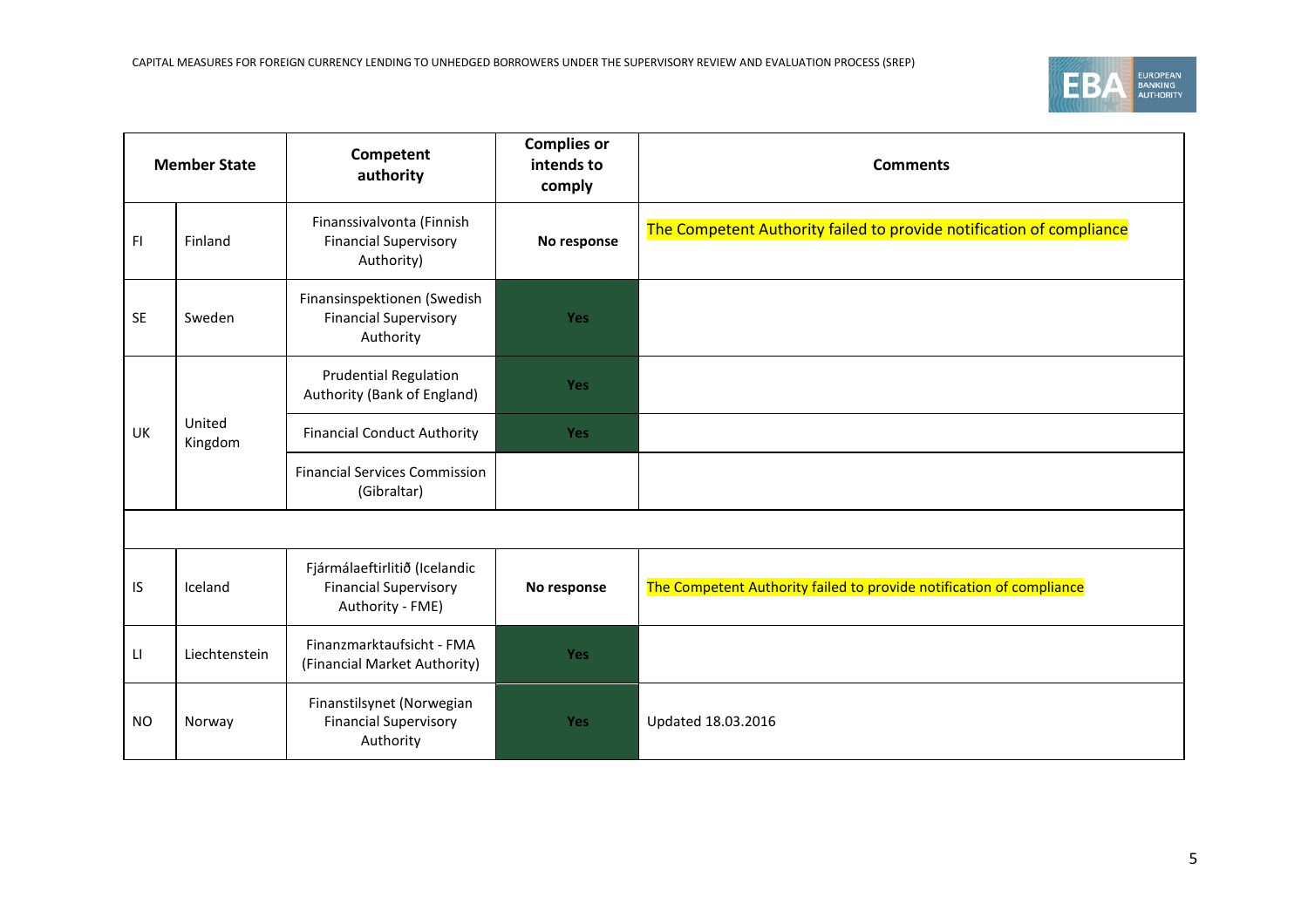

| <b>Member State</b> |                   | Competent<br>authority                                                            | <b>Complies or</b><br>intends to<br>comply | <b>Comments</b>                                                      |  |
|---------------------|-------------------|-----------------------------------------------------------------------------------|--------------------------------------------|----------------------------------------------------------------------|--|
| FI                  | Finland           | Finanssivalvonta (Finnish<br><b>Financial Supervisory</b><br>Authority)           | No response                                | The Competent Authority failed to provide notification of compliance |  |
| <b>SE</b>           | Sweden            | Finansinspektionen (Swedish<br><b>Financial Supervisory</b><br>Authority          | <b>Yes</b>                                 |                                                                      |  |
|                     | United<br>Kingdom | <b>Prudential Regulation</b><br>Authority (Bank of England)                       | Yes                                        |                                                                      |  |
| <b>UK</b>           |                   | <b>Financial Conduct Authority</b>                                                | <b>Yes</b>                                 |                                                                      |  |
|                     |                   | <b>Financial Services Commission</b><br>(Gibraltar)                               |                                            |                                                                      |  |
|                     |                   |                                                                                   |                                            |                                                                      |  |
| IS.                 | Iceland           | Fjármálaeftirlitið (Icelandic<br><b>Financial Supervisory</b><br>Authority - FME) | No response                                | The Competent Authority failed to provide notification of compliance |  |
| LI.                 | Liechtenstein     | Finanzmarktaufsicht - FMA<br>(Financial Market Authority)                         | Yes                                        |                                                                      |  |
| <b>NO</b>           | Norway            | Finanstilsynet (Norwegian<br><b>Financial Supervisory</b><br>Authority            | Yes                                        | Updated 18.03.2016                                                   |  |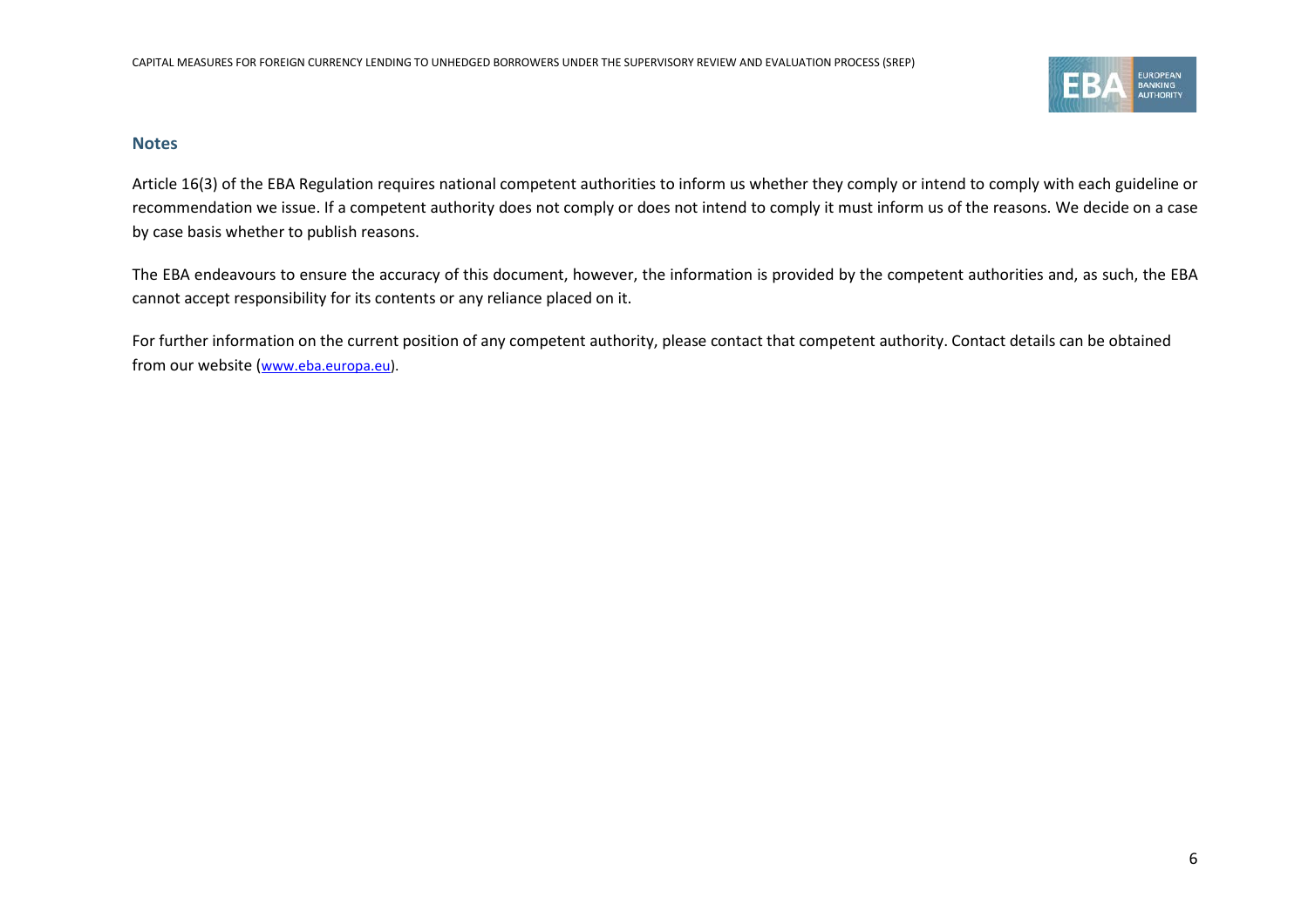

## **Notes**

Article 16(3) of the EBA Regulation requires national competent authorities to inform us whether they comply or intend to comply with each guideline or recommendation we issue. If a competent authority does not comply or does not intend to comply it must inform us of the reasons. We decide on a case by case basis whether to publish reasons.

The EBA endeavours to ensure the accuracy of this document, however, the information is provided by the competent authorities and, as such, the EBA cannot accept responsibility for its contents or any reliance placed on it.

For further information on the current position of any competent authority, please contact that competent authority. Contact details can be obtained from our website [\(www.eba.europa.eu\)](http://www.eba.europa.eu/).